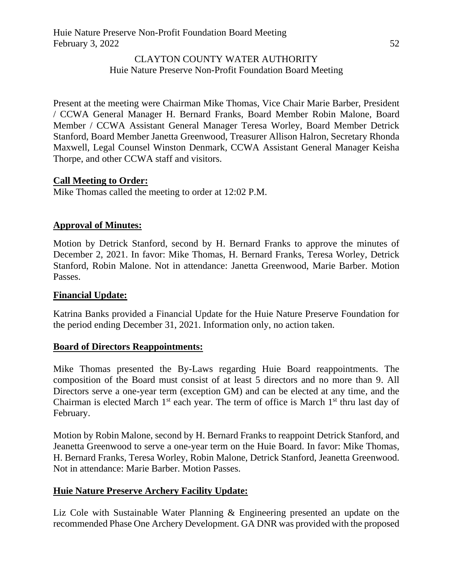#### CLAYTON COUNTY WATER AUTHORITY Huie Nature Preserve Non-Profit Foundation Board Meeting

Present at the meeting were Chairman Mike Thomas, Vice Chair Marie Barber, President / CCWA General Manager H. Bernard Franks, Board Member Robin Malone, Board Member / CCWA Assistant General Manager Teresa Worley, Board Member Detrick Stanford, Board Member Janetta Greenwood, Treasurer Allison Halron, Secretary Rhonda Maxwell, Legal Counsel Winston Denmark, CCWA Assistant General Manager Keisha Thorpe, and other CCWA staff and visitors.

## **Call Meeting to Order:**

Mike Thomas called the meeting to order at 12:02 P.M.

### **Approval of Minutes:**

Motion by Detrick Stanford, second by H. Bernard Franks to approve the minutes of December 2, 2021. In favor: Mike Thomas, H. Bernard Franks, Teresa Worley, Detrick Stanford, Robin Malone. Not in attendance: Janetta Greenwood, Marie Barber. Motion Passes.

### **Financial Update:**

Katrina Banks provided a Financial Update for the Huie Nature Preserve Foundation for the period ending December 31, 2021. Information only, no action taken.

### **Board of Directors Reappointments:**

Mike Thomas presented the By-Laws regarding Huie Board reappointments. The composition of the Board must consist of at least 5 directors and no more than 9. All Directors serve a one-year term (exception GM) and can be elected at any time, and the Chairman is elected March  $1<sup>st</sup>$  each year. The term of office is March  $1<sup>st</sup>$  thru last day of February.

Motion by Robin Malone, second by H. Bernard Franks to reappoint Detrick Stanford, and Jeanetta Greenwood to serve a one-year term on the Huie Board. In favor: Mike Thomas, H. Bernard Franks, Teresa Worley, Robin Malone, Detrick Stanford, Jeanetta Greenwood. Not in attendance: Marie Barber. Motion Passes.

### **Huie Nature Preserve Archery Facility Update:**

Liz Cole with Sustainable Water Planning & Engineering presented an update on the recommended Phase One Archery Development. GA DNR was provided with the proposed